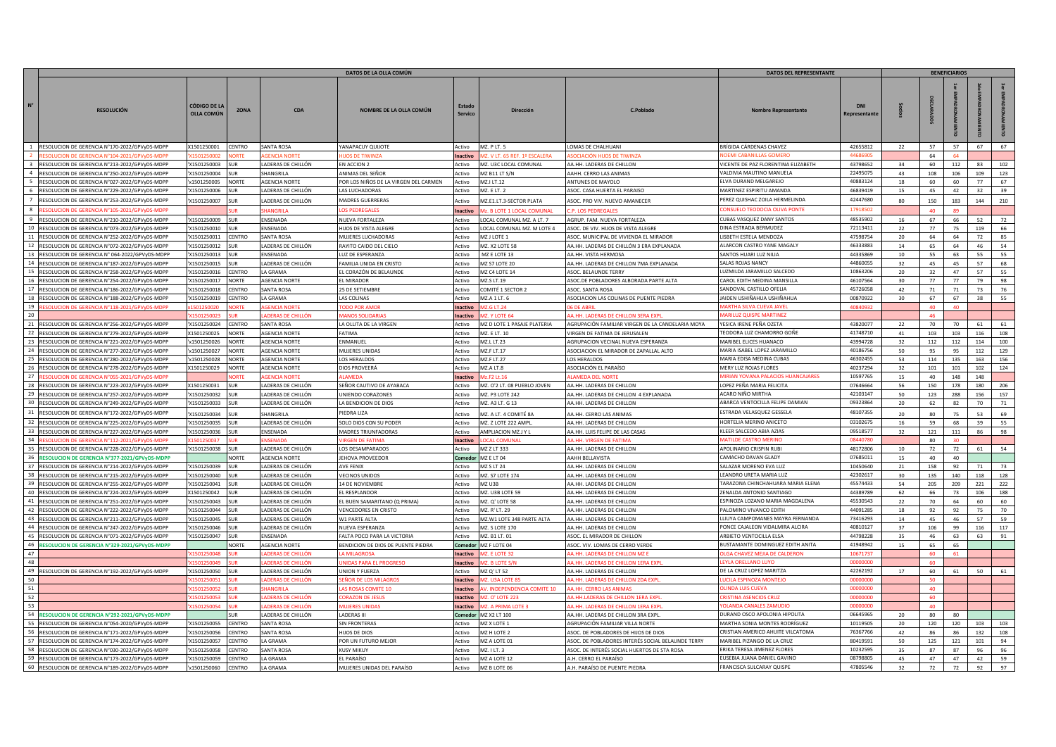|                |                                                                                                  | <b>DATOS DEL REPRESENTANTE</b>    |                     |                                          |                                                      |                      |                                                |                                                                      |                                                                    |                       |          |           |            |            |          |
|----------------|--------------------------------------------------------------------------------------------------|-----------------------------------|---------------------|------------------------------------------|------------------------------------------------------|----------------------|------------------------------------------------|----------------------------------------------------------------------|--------------------------------------------------------------------|-----------------------|----------|-----------|------------|------------|----------|
|                | <b>RESOLUCIÓN</b>                                                                                | CÓDIGO DE LA<br><b>OLLA COMÚN</b> | <b>ZONA</b>         | <b>CDA</b>                               | NOMBRE DE LA OLLA COMÚN                              |                      | Dirección                                      | C.Poblado                                                            | <b>Nombre Representante</b>                                        | DNI<br><b>Represe</b> |          |           |            |            |          |
|                | RESOLUCION DE GERENCIA N°170-2022/GPVyDS-MDPI                                                    | X1501250001                       | CENTRO              | <b>SANTA ROSA</b>                        | <b>ANAPACUY QUIJOTE</b>                              | Activo               | <b>MZ. PLT. 5</b>                              | LOMAS DE CHALHUANI                                                   | BRÍGIDA CÁRDENAS CHAVEZ                                            | 42655812              | 22       |           | 57         | 67         | 67       |
|                |                                                                                                  |                                   |                     |                                          |                                                      | nactivo              |                                                |                                                                      |                                                                    |                       |          | 64        |            |            |          |
| $\overline{3}$ | RESOLUCION DE GERENCIA N°213-2022/GPVvDS-MDPP                                                    | X1501250003                       |                     | ADERAS DE CHILLÓN                        | EN ACCION 2                                          | Activo               | MZ. U3C LOCAL COMUNAL                          | AA.HH. LADERAS DE CHILLON                                            | VICENTE DE PAZ FLORENTINA ELIZABETH                                | 43798652              | -34      | 60        | 112        | 83         | 102      |
| $\overline{4}$ | RESOLUCION DE GERENCIA N°250-2022/GPVyDS-MDPP                                                    | 'X1501250004                      | <b>SUR</b>          | SHANGRILA                                | ANIMAS DEL SEÑOR                                     | Activo               | MZ B11 LT S/N                                  | AAHH. CERRO LAS ANIMAS                                               | VALDIVIA MAUTINO MANUELA                                           | 22495075              | 43       | 108       | 106        | 109        | 123      |
|                | RESOLUCION DE GERENCIA N°027-2022/GPVyDS-MDPF                                                    | x1501250005                       | <b>NORTE</b>        | <b>GENCIA NORTE</b>                      | POR LOS NIÑOS DE LA VIRGEN DEL CARMEN                | Activo               | MZ.I LT.12                                     | ANTUNES DE MAYOLO                                                    | ELVA DURAND MELGAREJO                                              | 40883124              | 18       | 60        | 60         | 77         | 67       |
|                | RESOLUCION DE GERENCIA N°229-2022/GPVyDS-MDPF                                                    | X1501250006                       |                     | ADERAS DE CHILLÓN                        | AS LUCHADORAS                                        | Activo               | MZ. E LT. 2                                    | ASOC. CASA HUERTA EL PARAISO                                         | MARTINEZ ESPIRITU AMANDA                                           | 46839419              | 15       | 45        | 42         | 32         | 39       |
|                | RESOLUCION DE GERENCIA N°253-2022/GPVyDS-MDPP                                                    | X1501250007                       |                     | ADERAS DE CHILLÓN                        | <b>AADRES GUERRERAS</b>                              | Activo               | MZ.E1.LT.3-SECTOR PLATA                        | ASOC. PRO VIV. NUEVO AMANECER                                        | PEREZ QUISHAC ZOILA HERMELINDA                                     | 42447680              | 80       | 150       | 183        | 144        | 210      |
|                | SOLUCION DE GERENCIA N°105-2021/GPVyDS-MDPI                                                      |                                   |                     | <b>NGRIL</b>                             | <b>OS PEDREGALE</b>                                  | Inactivo             | <b>42 BLOTE 1 LOCAL COMUNA</b>                 | <b>P. LOS PEDREGALE</b>                                              | <b>ONSUELO TEODOCIA OLIVA PONT</b>                                 | 179185                |          |           |            |            |          |
|                | RESOLUCION DE GERENCIA N°210-2022/GPVyDS-MDPF                                                    | X1501250009                       | SUR                 | ENSENADA                                 | <b>NUEVA FORTALEZA</b>                               | Activo               | LOCAL COMUNAL MZ. A LT. 7                      | AGRUP. FAM. NUEVA FORTALEZA                                          | CUBAS VASQUEZ DANY SANTOS                                          | 48535902              | 16       | 67        | 66         | 52         | 72       |
| 10             | ESOLUCION DE GERENCIA N°073-2022/GPVvDS-MDPI                                                     | X1501250010                       |                     | ENSENADA                                 | <b>IJOS DE VISTA ALEGRE</b>                          | Activo               | LOCAL COMUNAL MZ. M LOTE 4                     | ASOC. DE VIV. HIJOS DE VISTA ALEGRE                                  | DINA ESTRADA BERMUDEZ                                              | 72113411              | 22       | 77        | 75         | 119        | 66       |
|                | 11 RESOLUCION DE GERENCIA N°252-2022/GPVyDS-MDPP                                                 | X1501250011                       | CENTRO              | SANTA ROSA                               | <b>MUJERES LUCHADORAS</b>                            | Activo               | MZ J LOTE 1                                    | ASOC, MUNICIPAL DE VIVIENDA EL MIRADOR                               | ISBETH ESTELA MENDOZA                                              | 47598754              | 20       | 64        | 64         | 72         | 85       |
| 12             | RESOLUCION DE GERENCIA N°072-2022/GPVyDS-MDPP                                                    | X1501250012                       | <b>SUR</b>          | LADERAS DE CHILLÓN                       | RAYITO CAIDO DEL CIELO                               | Activo               | MZ. X2 LOTE 58                                 | AA.HH. LADERAS DE CHILLÓN 3 ERA EXPLANADA                            | ALARCON CASTRO YANE MAGALY                                         | 46333883              | 14       | 65        | 64         | 46         | 54       |
|                | 13 RESOLUCION DE GERENCIA N° 064-2022/GPVyDS-MDPF                                                | X1501250013                       | SUR                 | FNSFNADA                                 | UZ DE ESPERANZA                                      | Activo               | MZ E LOTE 13                                   | AA.HH. VISTA HERMOSA                                                 | SANTOS HUARI LUZ NILIA                                             | 44335869              | 10       | 55        | 63         | 55         | 55       |
| 14             | RESOLUCION DE GERENCIA N°187-2022/GPVyDS-MDPF                                                    | X1501250015                       | SI IR<br>CENTRO     | ADERAS DE CHILLÓN<br><b>GRAMA</b>        | AMILIA UNIDA EN CRISTO                               | Activo               | MZ S7 LOTE 20                                  | AA.HH. LADERAS DE CHILLON 7MA EXPLANADA                              | <b>SALAS ROJAS NANCY</b><br>LUZMILDA JARAMILLO SALCEDO             | 44860055<br>10863206  | 32<br>20 | 45<br>32  | 45<br>47   | 57<br>57   | 68<br>55 |
| -16            | 15 RESOLUCION DE GERENCIA N°258-2022/GPVyDS-MDPP<br>ESOLUCION DE GERENCIA N°254-2022/GPVyDS-MDPP | X1501250016<br>X1501250017        | <b>JORTF</b>        | <b>GENCIA NORTE</b>                      | EL CORAZÓN DE BELAUNDE<br>L MIRADOR                  | Activo<br>Activo     | MZ C4 LOTE 14<br>MZ.S LT.19                    | ASOC. BELAUNDE TERRY<br>ASOC.DE POBLADORES ALBORADA PARTE ALTA       | CAROL EDITH MEDINA MANSILLA                                        | 46107564              | 30       | 77        | 77         | 79         | 98       |
| 17             | ESOLUCION DE GERENCIA N°186-2022/GPVvDS-MDPF                                                     | X1501250018                       | <b>ENTRO</b>        | <b>ANTA ROSA</b>                         | 5 DE SETIEMBRE                                       | Activo               | COMITÉ 1 SECTOR 2                              | ASOC. SANTA ROSA                                                     | SANDOVAL CASTILLO OFELIA                                           | 45726058              | 42       | 71        | 71         | 73         | 76       |
|                | RESOLUCION DE GERENCIA N°188-2022/GPVyDS-MDPP                                                    | X1501250019                       | CENTRO              | A GRAMA                                  | AS COLINAS                                           | Activo               | MZ.A 1 LT. 6                                   | ASOCIACION LAS COLINAS DE PUENTE PIEDRA                              | JAIDEN USHIÑAHUA USHIÑAHUA                                         | 00870922              | 30       | 67        | 67         | 38         | 55       |
| 19             | ESOLUCION DE GERENCIA N°118-2021/GPVvDS-MDP                                                      | 15012500                          |                     | <b>ENCIA NORT</b>                        | <b>ODO POR AMO</b>                                   | Inactivo             | 17.G I T.24                                    | <b>IG DE ABRI</b>                                                    | <b>AARTHA SILVA CUEVA JAVE</b>                                     | 40840932              |          | 40        | 40         |            |          |
|                |                                                                                                  |                                   |                     |                                          |                                                      | nactivo              |                                                |                                                                      |                                                                    |                       |          |           |            |            |          |
| 21             | RESOLUCION DE GERENCIA N°256-2022/GPVyDS-MDPF                                                    | X1501250024                       | CENTRO              | <b>ANTA ROSA</b>                         | A OLLITA DE LA VIRGEN                                | Activo               | MZ D LOTE 1 PASAJE PLATERIA                    | AGRUPACIÓN FAMILIAR VIRGEN DE LA CANDELARIA MOYA                     | YESICA IRENE PEÑA OZETA                                            | 43820077              | 22       |           | 70         | 61         | 61       |
| 22             | RESOLUCION DE GERENCIA N°279-2022/GPVvDS-MDPF                                                    | X1501250025                       | <b>NORTE</b>        | <b>AGENCIA NORTE</b>                     | ATIMA                                                | Activo               | MZ. E LT. 10                                   | VIRGEN DE FATIMA DE JERUSALEN                                        | TEODORA LUZ CHAMORRO GOÑE                                          | 41748710              | 41       | 103       | 103        | 116        | 108      |
| 23             | ESOLUCION DE GERENCIA N°221-2022/GPVyDS-MDPP                                                     | x1501250026                       | <b>NORTF</b>        | <b>GENCIA NORTE</b>                      | NMANUFI                                              | Activo               | MZ.L LT.23                                     | <b>AGRUPACION VECINAL NUEVA ESPERANZA</b>                            | MARIBEL ELICES HUANACO                                             | 43994728              | 32       | 112       | 112        | 114        | 100      |
|                | 24 RESOLUCION DE GERENCIA N°277-2022/GPVyDS-MDPP                                                 | x1501250027                       | <b>NORTE</b>        | AGENCIA NORTE                            | MUJERES UNIDAS                                       | Activo               | MZ.F LT.17                                     | ASOCIACION EL MIRADOR DE ZAPALLAL ALTO                               | MARIA ISABEL LOPEZ JARAMILLO                                       | 40186756              | 50       | 95        | 95         | 112        | 129      |
| 25             | RESOLUCION DE GERENCIA N°280-2022/GPVyDS-MDPP                                                    | 'x1501250028                      | <b>NORTE</b>        | <b>GENCIA NORTE</b>                      | OS HERALDOS                                          | Activo               | <b>MZ.F LT.27</b>                              | <b>LOS HERALDOS</b>                                                  | MARIA EDISA MEDINA CUBAS                                           | 46302455              | 53       | 114       | 135        | 163        | 156      |
| 26<br>27       | RESOLUCION DE GERENCIA N°278-2022/GPVyDS-MDPP<br>COLLICION DE GERENCIA NºOSS-2021/               | X1501250029                       | <b>NORTE</b>        | <b>AGENCIA NORTE</b><br><b>ENCIA NOR</b> | <b>DIOS PROVEERÁ</b><br><b>AMED</b>                  | Activo               | MZ.A LT.8                                      | ASOCIACIÓN EL PARAÍSO<br><b>I AMEDA DEL NO</b>                       | MERY LUZ ROJAS FLORES<br><b>MIRIAN YOVANA PALACIOS HUANCAJARES</b> | 40237294<br>10597765  | 32       | 101       | 101        | 102        | 124      |
| 28             |                                                                                                  |                                   |                     |                                          |                                                      | nactivo<br>Activo    |                                                |                                                                      | LOPEZ PEÑA MARIA FELICITA                                          | 07646664              | 15       | 40<br>150 | 148<br>178 | 148<br>180 | 206      |
| 29             | ESOLUCION DE GERENCIA N°223-2022/GPVyDS-MDPP<br>ESOLUCION DE GERENCIA N°257-2022/GPVvDS-MDPF     | X1501250031<br>X1501250032        |                     | ADERAS DE CHILLÓN<br>ADERAS DE CHILLÓN   | EÑOR CAUTIVO DE AYABACA<br><b>INIENDO CORAZONES</b>  | Activo               | MZ. O'2 LT. 08 PUEBLO JOVEN<br>MZ. P3 LOTE 242 | AA.HH. LADERAS DE CHILLON<br>AA.HH. LADERAS DE CHILLON 4 EXPLANADA   | ACARO NIÑO MIRTHA                                                  | 42103147              | 50       | 123       | 288        | 156        | 157      |
| 30             | RESOLUCION DE GERENCIA N°249-2022/GPVyDS-MDPP                                                    | X1501250033                       |                     | ADERAS DE CHILLÓN                        | A BENDICION DE DIOS                                  | Activo               | MZ. A3 LT. G 13                                | AA.HH. LADERAS DE CHILLON                                            | ABARCA VENTOCILLA FELIPE DAMIAN                                    | 09323864              | 20       | 62        | 82         | 70         | 71       |
| 31             | RESOLUCION DE GERENCIA N°172-2022/GPVyDS-MDPP                                                    | X1501250034                       |                     | <b>IANGRILA</b>                          | PIEDRA LIZA                                          | <b>Activo</b>        |                                                |                                                                      | ESTRADA VELASQUEZ GESSELA                                          | 48107355              | 20       | 80        |            | 53         | 69       |
| 32             | ESOLUCION DE GERENCIA N°225-2022/GPVvDS-MDPE                                                     | X1501250035                       | SUR                 | ADERAS DE CHILLÓN                        | OLO DIOS CON SU PODER                                | Activo               | MZ. A LT. 4 COMITÉ 8A<br>MZ. Z LOTE 222 AMPL   | AA.HH. CERRO LAS ANIMAS<br>AA.HH. LADERAS DE CHILLON                 | HORTELIA MERINO ANICETO                                            | 03102675              | 16       | 59        | 68         | 39         | 55       |
|                | 33 RESOLUCION DE GERENCIA N°227-2022/GPVyDS-MDPP                                                 | X1501250036                       | <b>SUR</b>          | ENSENADA                                 | MADRES TRIUNFADORAS                                  | Activo               | AMPLIACION MZ.J Y L                            | AA.HH. LUIS FELIPE DE LAS CASAS                                      | KLEER SALCEDO ABIA AZIAS                                           | 09518577              | 32       | 121       | 111        | 86         | 98       |
| 34             | ESOLUCION DE GERENCIA N°112-2021/GPVyDS-MDPF                                                     | 150125003                         |                     | <b>SENADA</b>                            | <b>RGEN DE FATIM/</b>                                | Inactivo             | <b>OCAL COMUNAL</b>                            | AA.HH. VIRGEN DE FATIMA                                              | <b>MATILDE CASTRO MERINO</b>                                       | 0844078               |          | 80        |            |            |          |
| 35             | RESOLUCION DE GERENCIA N°228-2022/GPVyDS-MDPP                                                    | X1501250038                       | <b>SUR</b>          | ADERAS DE CHILLÓN                        | OS DESAMPARADOS                                      | Activo               | MZ Z LT 333                                    | AA.HH. LADERAS DE CHILLON                                            | APOLINARIO CRISPIN RUBI                                            | 48172806              | 10       | 72        | 72         | 61         | 54       |
| 36             | <b>ESOLUCION DE GERENCIA N°377-2021/GPVyDS-MDPP</b>                                              |                                   | VORTE               | <b>AGENCIA NORTE</b>                     | EHOVA PROVEEDOR                                      | Comedo               | MZ E LT 04                                     | AAHH BELLAVISTA                                                      | CAMACHO DAVAN GLADY                                                | 07685011              | 15       | 40        | 40         |            |          |
| 37             | ESOLUCION DE GERENCIA N°214-2022/GPVyDS-MDPP                                                     | X1501250039                       |                     | ADERAS DE CHILLÓN                        | <b>VE FENIX</b>                                      | Activo               | <b>MZ S LT 24</b>                              | AA.HH. LADERAS DE CHILLON                                            | SALAZAR MORENO EVA LUZ                                             | 10450640              | 21       | 158       | 92         | 71         | 73       |
| 38             | ESOLUCION DE GERENCIA N°215-2022/GPVvDS-MDPF                                                     | X1501250040                       | SUR                 | ADERAS DE CHILLÓN                        | <b>VECINOS UNIDOS</b>                                | Activo               | <b>MZ. S7 LOTE 174</b>                         | AA.HH. LADERAS DE CHILLON                                            | LEANDRO URETA MARIA LUZ                                            | 42302617              | 30       | 135       | 140        | 118        | 128      |
| 39             | RESOLUCION DE GERENCIA N°255-2022/GPVyDS-MDPP                                                    | X1501250041                       |                     | LADERAS DE CHILLÓN                       | <b>14 DE NOVIEMBRE</b>                               | Activo               | MZ U3B                                         | AA.HH. LADERAS DE CHILLON                                            | TARAZONA CHINCHAHUARA MARIA ELENA                                  | 45574433              | 54       | 205       | 209        | 221        | 222      |
| 40             | RESOLUCION DE GERENCIA N°224-2022/GPVyDS-MDPP                                                    | X1501250042                       | <b>SUR</b>          | LADERAS DE CHILLÓN                       | EL RESPLANDOR                                        | Activo               | MZ. U3B LOTE 59                                | AA.HH. LADERAS DE CHILLON                                            | ZENALDA ANTONIO SANTIAGO                                           | 44389789              | 62       | 66        | 73         | 106        | 188      |
| 41<br>42       | RESOLUCION DE GERENCIA N°251-2022/GPVyDS-MDPF<br>ESOLUCION DE GERENCIA N°222-2022/GPVyDS-MDPF    | X1501250043<br>X1501250044        | <b>SUR</b><br>31 IR | LADERAS DE CHILLÓN<br>ADERAS DE CHILLÓN  | EL BUEN SAMARITANO (Q PRIMA)<br>VENCEDORES EN CRISTO | Activo<br>Activo     | MZ. Q' LOTE 58<br>MZ. R' LT. 29                | AA.HH. LADERAS DE CHILLON<br>AA.HH. LADERAS DE CHILLON               | ESPINOZA LOZANO MARIA MAGDALENA<br>PALOMINO VIVANCO EDITH          | 45530543<br>44091285  | 22<br>18 | 70<br>92  | 64<br>92   | 60<br>75   | 60<br>70 |
| 43             | ESOLUCION DE GERENCIA N°211-2022/GPVyDS-MDPF                                                     | X1501250045                       | <b>SLIR</b>         | ADERAS DE CHILLÓN                        | V1 PARTE ALTA                                        | Activo               | MZ.W1 LOTE 348 PARTE ALTA                      | AA.HH. LADERAS DE CHILLON                                            | LLIUYA CAMPOMANES MAYRA FERNANDA                                   | 73416293              | 14       | 45        | 46         | 57         | 59       |
| 44             | ESOLUCION DE GERENCIA N°247-2022/GPVvDS-MDPF                                                     | X1501250046                       | SLIR                | ADERAS DE CHILLÓN                        | <b>IUEVA ESPERANZA</b>                               | Activo               | MZ. S LOTE 170                                 | AA.HH. LADERAS DE CHILLON                                            | ONCE CAJALEON VIDALMIRA ALCIRA                                     | 40810127              | 37       | 106       | 99         | 116        | 117      |
| 45             | RESOLUCION DE GERENCIA N°071-2022/GPVyDS-MDPP                                                    | X1501250047                       | <b>SLIR</b>         | <b>INSENADA</b>                          | ALTA POCO PARA LA VICTORIA                           | Activo               | MZ. B1 LT. 01                                  | ASOC. EL MIRADOR DE CHILLON                                          | ARBIETO VENTOCILLA ELSA                                            | 44798228              | 35       | 46        | 63         | 63         | 91       |
| 46             | RESOLUCION DE GERENCIA N°329-2021/GPVyDS-MDPP                                                    |                                   | NORTE               | <b>AGENCIA NORTE</b>                     | BENDICION DE DIOS DE PUENTE PIEDRA                   | <b>Comedor</b>       | MZ F LOTE 04                                   | ASOC. VIV. LOMAS DE CERRO VERDE                                      | BUSTAMANTE DOMINGUEZ EDITH ANITA                                   | 41948942              | 15       | 65        | 65         |            |          |
|                |                                                                                                  | 5012500                           |                     | <b>IDERAS DE CHILLÓI</b>                 | A MILAGROSA                                          | Inactivo             | <b>AZ. E LOTE 3</b>                            | AA.HH. LADERAS DE CHILLON MZ                                         | <b>DLGA CHAVEZ MEJIA DE CALDERON</b>                               | 1067173               |          |           |            |            |          |
|                |                                                                                                  |                                   |                     | DERAS DE CHILLÓI                         | NIDAS PARA EL PROGRES                                | nactivo              | $17.01$ OTE C/                                 | <b>NHH LADERAS DE CHILLON 1ERA EVE</b>                               | <b>EYLA ORELLANO LUYO</b>                                          | 0000000               |          |           |            |            |          |
|                | 49 RESOLUCION DE GERENCIA N°192-2022/GPVyDS-MDPP                                                 | 'X1501250050                      | SUR                 | LADERAS DE CHILLÓN                       | <b>JNION Y FUERZA</b>                                | Activo               | MZ Q' LT 52                                    | AA.HH. LADERAS DE CHILLON                                            | DE LA CRUZ LOPEZ MARITZA                                           | 42262192              | 17       | 60        | 61         | 50         | 61       |
|                |                                                                                                  |                                   |                     |                                          |                                                      | nactivo              |                                                | <b>A.HH. LADERAS DE CHILLON 2DA EXP</b>                              | <b>CILA ESPINOZA MONTER</b>                                        |                       |          |           |            |            |          |
|                |                                                                                                  | 1501250053                        |                     | <b>ANGRILA</b>                           | <b>AS ROSAS COMITE 10</b>                            | <b>Inactivo</b>      | <b>W. INDEPENDENCIA COMITE 10</b>              | AA.HH. CERRO LAS ANIMAS                                              | LINDA LUIS CUEVA<br><b>RISTINA ASENCIOS CRUZ</b>                   | 00000000<br>0000000   |          | 40<br>-60 |            |            |          |
|                |                                                                                                  | (15012500                         |                     | ADERAS DE CHILLÓN<br>DERAS DE CHILLÓ     | <b>ORAZON DE JESU:</b><br><b>LUERES LINID</b>        | Inactivo<br>Inactivo | MZ. O' LOTE 223                                | AA.HH.LADERAS DE CHILLON 1ERA EXP<br>A HH. LADERAS DE CHILLON 1ERA E | OLANDA CANALES ZAMUE                                               | 0000000               |          |           |            |            |          |
|                | <b>ESOLUCION DE GERENCIA N°292-2021/GPVvDS-MI</b>                                                |                                   |                     | ADERAS DE CHILLÓN                        | <b>ADFRAS II</b>                                     | Comedo               | MZ X2 LT 100                                   | AA.HH. LADERAS DE CHILLON 3RA EXPI                                   | DURAND OSCO APOLONIA HIPOLITA                                      | 06645965              |          |           |            |            |          |
|                | RESOLUCION DE GERENCIA N°054-2020/GPVyDS-MDPP                                                    | 'X1501250055                      | CENTRO              | SANTA ROSA                               | <b>SIN FRONTERAS</b>                                 | Activo               | MZ X LOTE 1                                    | AGRUPACIÓN FAMILIAR VILLA NORTE                                      | MARTHA SONIA MONTES RODRÍGUEZ                                      | 10119505              | 20       | 120       | 120        | 103        | 103      |
| 56             | ESOLUCION DE GERENCIA N°171-2022/GPVvDS-MDPI                                                     | X1501250056                       | ENTRO               | ANTA ROSA                                | <b>IJOS DE DIOS</b>                                  | Activo               | MZ H LOTE 2                                    | ASOC. DE POBLADORES DE HIJOS DE DIO                                  | CRISTIAN AMERICO AHUITE VILCATOMA                                  | 76367766              | 42       | 86        | 86         | 132        | 108      |
| 57             | ESOLUCION DE GERENCIA N°174-2022/GPVyDS-MDPI                                                     | X1501250057                       | CENTRO              | GRAMA                                    | OR UN FUTURO MEJOR                                   | Activo               | MZ A LOTE 01                                   | ASOC. DE POBLADORES INTERÉS SOCIAL BELAUNDE TERRY                    | MARIBEL PIZANGO DE LA CRUZ                                         | 80419591              | 50       | 125       | 121        | 101        | 94       |
| 58             | RESOLUCION DE GERENCIA N°030-2022/GPVyDS-MDPP                                                    | X1501250058                       | CENTRO              | <b>ANTA ROSA</b>                         | USY MIKUY                                            | Activo               | MZ. I LT. 3                                    | ASOC. DE INTERÉS SOCIAL HUERTOS DE STA ROSA                          | ERIKA TERESA JIMENEZ FLORES                                        | 10232595              | 35       | 87        | 87         | 96         | 96       |
|                | 59 RESOLUCION DE GERENCIA N°173-2022/GPVyDS-MDPP                                                 | 'X1501250059                      | CENTRO              | GRAMA                                    | L PARAÍSO                                            | Activo               | MZ A LOTE 12                                   | A.H. CERRO EL PARAÍSO                                                | EUSEBIA JUANA DANIEL GAVINO                                        | 08798805              | 45       | 47        | 47         | 42         | 59       |
|                | 60 RESOLUCION DE GERENCIA N°189-2022/GPVyDS-MDPP                                                 | 'x1501250060                      | CENTRO              | GRAMA                                    | MUJERES UNIDAS DEL PARAÍSO                           | Activo               | M7 B LOTE 06                                   | A.H. PARAÍSO DE PUENTE PIEDRA                                        | FRANCISCA SULCARAY QUISPE                                          | 47805546              | 32       | 72        | 72         | 92         | 97       |